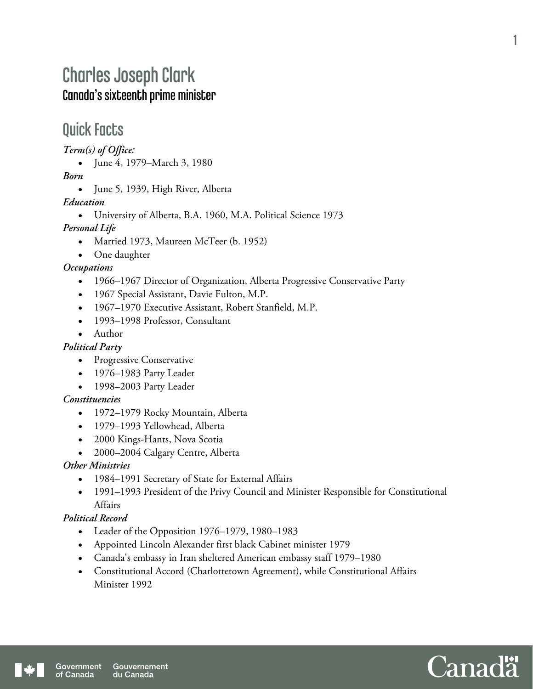# Charles Joseph Clark Canada's sixteenth prime minister

## Quick Facts

*Term(s) of Office:* 

June 4, 1979–March 3, 1980

*Born* 

• June 5, 1939, High River, Alberta

#### *Education*

University of Alberta, B.A. 1960, M.A. Political Science 1973

#### *Personal Life*

- Married 1973, Maureen McTeer (b. 1952)
- One daughter

#### *Occupations*

- 1966–1967 Director of Organization, Alberta Progressive Conservative Party
- 1967 Special Assistant, Davie Fulton, M.P.
- 1967–1970 Executive Assistant, Robert Stanfield, M.P.
- 1993–1998 Professor, Consultant
- Author

#### *Political Party*

- Progressive Conservative
- 1976–1983 Party Leader
- 1998–2003 Party Leader

#### *Constituencies*

- 1972–1979 Rocky Mountain, Alberta
- 1979–1993 Yellowhead, Alberta
- 2000 Kings-Hants, Nova Scotia
- 2000–2004 Calgary Centre, Alberta

#### *Other Ministries*

- 1984–1991 Secretary of State for External Affairs
- 1991–1993 President of the Privy Council and Minister Responsible for Constitutional Affairs

#### *Political Record*

- Leader of the Opposition 1976–1979, 1980–1983
- Appointed Lincoln Alexander first black Cabinet minister 1979
- Canada's embassy in Iran sheltered American embassy staff 1979–1980
- Constitutional Accord (Charlottetown Agreement), while Constitutional Affairs Minister 1992



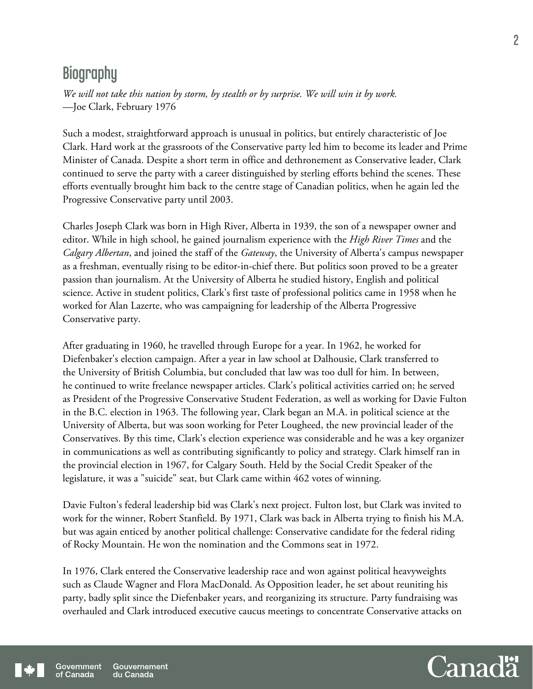## **Biography**

*We will not take this nation by storm, by stealth or by surprise. We will win it by work.* —Joe Clark, February 1976

Such a modest, straightforward approach is unusual in politics, but entirely characteristic of Joe Clark. Hard work at the grassroots of the Conservative party led him to become its leader and Prime Minister of Canada. Despite a short term in office and dethronement as Conservative leader, Clark continued to serve the party with a career distinguished by sterling efforts behind the scenes. These efforts eventually brought him back to the centre stage of Canadian politics, when he again led the Progressive Conservative party until 2003.

Charles Joseph Clark was born in High River, Alberta in 1939, the son of a newspaper owner and editor. While in high school, he gained journalism experience with the *High River Times* and the *Calgary Albertan*, and joined the staff of the *Gateway*, the University of Alberta's campus newspaper as a freshman, eventually rising to be editor-in-chief there. But politics soon proved to be a greater passion than journalism. At the University of Alberta he studied history, English and political science. Active in student politics, Clark's first taste of professional politics came in 1958 when he worked for Alan Lazerte, who was campaigning for leadership of the Alberta Progressive Conservative party.

After graduating in 1960, he travelled through Europe for a year. In 1962, he worked for Diefenbaker's election campaign. After a year in law school at Dalhousie, Clark transferred to the University of British Columbia, but concluded that law was too dull for him. In between, he continued to write freelance newspaper articles. Clark's political activities carried on; he served as President of the Progressive Conservative Student Federation, as well as working for Davie Fulton in the B.C. election in 1963. The following year, Clark began an M.A. in political science at the University of Alberta, but was soon working for Peter Lougheed, the new provincial leader of the Conservatives. By this time, Clark's election experience was considerable and he was a key organizer in communications as well as contributing significantly to policy and strategy. Clark himself ran in the provincial election in 1967, for Calgary South. Held by the Social Credit Speaker of the legislature, it was a "suicide" seat, but Clark came within 462 votes of winning.

Davie Fulton's federal leadership bid was Clark's next project. Fulton lost, but Clark was invited to work for the winner, Robert Stanfield. By 1971, Clark was back in Alberta trying to finish his M.A. but was again enticed by another political challenge: Conservative candidate for the federal riding of Rocky Mountain. He won the nomination and the Commons seat in 1972.

In 1976, Clark entered the Conservative leadership race and won against political heavyweights such as Claude Wagner and Flora MacDonald. As Opposition leader, he set about reuniting his party, badly split since the Diefenbaker years, and reorganizing its structure. Party fundraising was overhauled and Clark introduced executive caucus meetings to concentrate Conservative attacks on

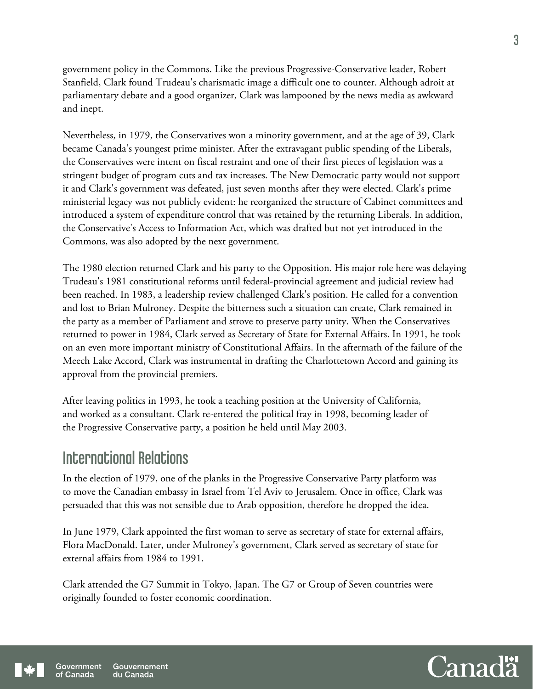government policy in the Commons. Like the previous Progressive-Conservative leader, Robert Stanfield, Clark found Trudeau's charismatic image a difficult one to counter. Although adroit at parliamentary debate and a good organizer, Clark was lampooned by the news media as awkward and inept.

Nevertheless, in 1979, the Conservatives won a minority government, and at the age of 39, Clark became Canada's youngest prime minister. After the extravagant public spending of the Liberals, the Conservatives were intent on fiscal restraint and one of their first pieces of legislation was a stringent budget of program cuts and tax increases. The New Democratic party would not support it and Clark's government was defeated, just seven months after they were elected. Clark's prime ministerial legacy was not publicly evident: he reorganized the structure of Cabinet committees and introduced a system of expenditure control that was retained by the returning Liberals. In addition, the Conservative's Access to Information Act, which was drafted but not yet introduced in the Commons, was also adopted by the next government.

The 1980 election returned Clark and his party to the Opposition. His major role here was delaying Trudeau's 1981 constitutional reforms until federal-provincial agreement and judicial review had been reached. In 1983, a leadership review challenged Clark's position. He called for a convention and lost to Brian Mulroney. Despite the bitterness such a situation can create, Clark remained in the party as a member of Parliament and strove to preserve party unity. When the Conservatives returned to power in 1984, Clark served as Secretary of State for External Affairs. In 1991, he took on an even more important ministry of Constitutional Affairs. In the aftermath of the failure of the Meech Lake Accord, Clark was instrumental in drafting the Charlottetown Accord and gaining its approval from the provincial premiers.

After leaving politics in 1993, he took a teaching position at the University of California, and worked as a consultant. Clark re-entered the political fray in 1998, becoming leader of the Progressive Conservative party, a position he held until May 2003.

### International Relations

In the election of 1979, one of the planks in the Progressive Conservative Party platform was to move the Canadian embassy in Israel from Tel Aviv to Jerusalem. Once in office, Clark was persuaded that this was not sensible due to Arab opposition, therefore he dropped the idea.

In June 1979, Clark appointed the first woman to serve as secretary of state for external affairs, Flora MacDonald. Later, under Mulroney's government, Clark served as secretary of state for external affairs from 1984 to 1991.

Clark attended the G7 Summit in Tokyo, Japan. The G7 or Group of Seven countries were originally founded to foster economic coordination.



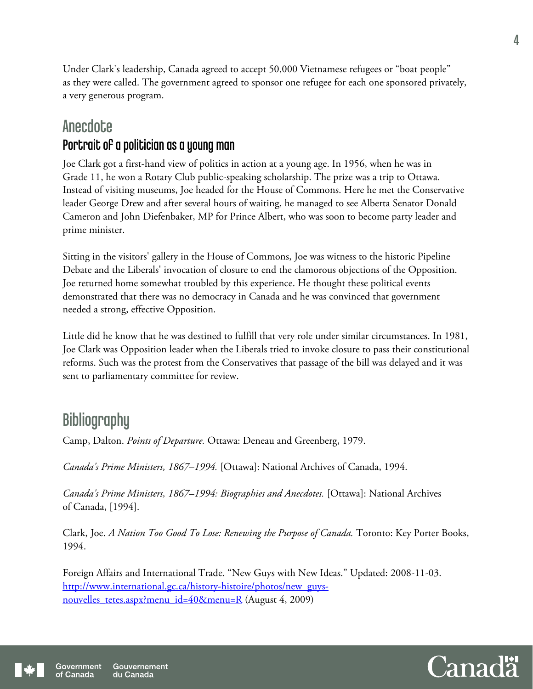Under Clark's leadership, Canada agreed to accept 50,000 Vietnamese refugees or "boat people" as they were called. The government agreed to sponsor one refugee for each one sponsored privately, a very generous program.

## **Anecdote** Portrait of a politician as a young man

Joe Clark got a first-hand view of politics in action at a young age. In 1956, when he was in Grade 11, he won a Rotary Club public-speaking scholarship. The prize was a trip to Ottawa. Instead of visiting museums, Joe headed for the House of Commons. Here he met the Conservative leader George Drew and after several hours of waiting, he managed to see Alberta Senator Donald Cameron and John Diefenbaker, MP for Prince Albert, who was soon to become party leader and prime minister.

Sitting in the visitors' gallery in the House of Commons, Joe was witness to the historic Pipeline Debate and the Liberals' invocation of closure to end the clamorous objections of the Opposition. Joe returned home somewhat troubled by this experience. He thought these political events demonstrated that there was no democracy in Canada and he was convinced that government needed a strong, effective Opposition.

Little did he know that he was destined to fulfill that very role under similar circumstances. In 1981, Joe Clark was Opposition leader when the Liberals tried to invoke closure to pass their constitutional reforms. Such was the protest from the Conservatives that passage of the bill was delayed and it was sent to parliamentary committee for review.

# **Bibliography**

Camp, Dalton. *Points of Departure.* Ottawa: Deneau and Greenberg, 1979.

*Canada's Prime Ministers, 1867–1994.* [Ottawa]: National Archives of Canada, 1994.

*Canada's Prime Ministers, 1867–1994: Biographies and Anecdotes.* [Ottawa]: National Archives of Canada, [1994].

Clark, Joe. *A Nation Too Good To Lose: Renewing the Purpose of Canada.* Toronto: Key Porter Books, 1994.

Foreign Affairs and International Trade. "New Guys with New Ideas." Updated: 2008-11-03. http://www.international.gc.ca/history-histoire/photos/new\_guysnouvelles tetes.aspx?menu  $id=40\&$ menu=R (August 4, 2009)